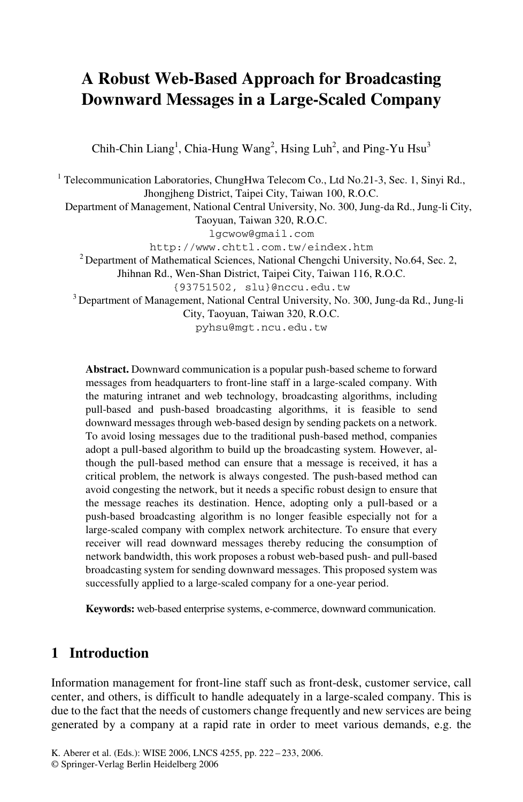# **A Robust Web-Based Approach for Broadcasting Downward Messages in a Large-Scaled Company**

Chih-Chin Liang<sup>1</sup>, Chia-Hung Wang<sup>2</sup>, Hsing Luh<sup>2</sup>, and Ping-Yu Hsu<sup>3</sup>

1 Telecommunication Laboratories, ChungHwa Telecom Co., Ltd No.21-3, Sec. 1, Sinyi Rd., Jhongjheng District, Taipei City, Taiwan 100, R.O.C. Department of Management, National Central University, No. 300, Jung-da Rd., Jung-li City, Taoyuan, Taiwan 320, R.O.C. lgcwow@gmail.com http://www.chttl.com.tw/eindex.htm <sup>2</sup> Department of Mathematical Sciences, National Chengchi University, No.64, Sec. 2, Jhihnan Rd., Wen-Shan District, Taipei City, Taiwan 116, R.O.C. {93751502, slu}@nccu.edu.tw <sup>3</sup> Department of Management, National Central University, No. 300, Jung-da Rd., Jung-li City, Taoyuan, Taiwan 320, R.O.C. pyhsu@mgt.ncu.edu.tw

**Abstract.** Downward communication is a popular push-based scheme to forward messages from headquarters to front-line staff in a large-scaled company. With the maturing intranet and web technology, broadcasting algorithms, including pull-based and push-based broadcasting algorithms, it is feasible to send downward messages through web-based design by sending packets on a network. To avoid losing messages due to the traditional push-based method, companies adopt a pull-based algorithm to build up the broadcasting system. However, although the pull-based method can ensure that a message is received, it has a critical problem, the network is always congested. The push-based method can avoid congesting the network, but it needs a specific robust design to ensure that the message reaches its destination. Hence, adopting only a pull-based or a push-based broadcasting algorithm is no longer feasible especially not for a large-scaled company with complex network architecture. To ensure that every receiver will read downward messages thereby reducing the consumption of network bandwidth, this work proposes a robust web-based push- and pull-based broadcasting system for sending downward messages. This proposed system was successfully applied to a large-scaled company for a one-year period.

**Keywords:** web-based enterprise systems, e-commerce, downward communication.

# **1 Introduction**

Information management for front-line staff such as front-desk, customer service, call center, and others, is difficult to handle adequately in a large-scaled company. This is due to the fact that the needs of customers change frequently and new services are being generated by a company at a rapid rate in order to meet various demands, e.g. the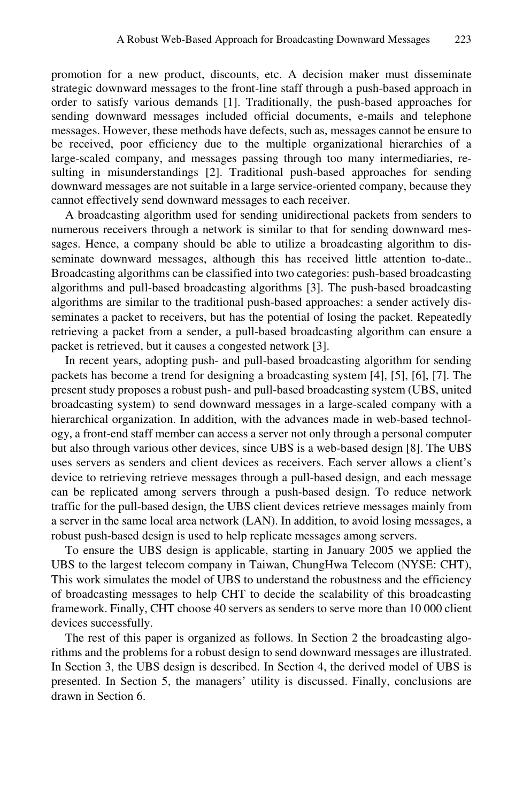promotion for a new product, discounts, etc. A decision maker must disseminate strategic downward messages to the front-line staff through a push-based approach in order to satisfy various demands [1]. Traditionally, the push-based approaches for sending downward messages included official documents, e-mails and telephone messages. However, these methods have defects, such as, messages cannot be ensure to be received, poor efficiency due to the multiple organizational hierarchies of a large-scaled company, and messages passing through too many intermediaries, resulting in misunderstandings [2]. Traditional push-based approaches for sending downward messages are not suitable in a large service-oriented company, because they cannot effectively send downward messages to each receiver.

A broadcasting algorithm used for sending unidirectional packets from senders to numerous receivers through a network is similar to that for sending downward messages. Hence, a company should be able to utilize a broadcasting algorithm to disseminate downward messages, although this has received little attention to-date.. Broadcasting algorithms can be classified into two categories: push-based broadcasting algorithms and pull-based broadcasting algorithms [3]. The push-based broadcasting algorithms are similar to the traditional push-based approaches: a sender actively disseminates a packet to receivers, but has the potential of losing the packet. Repeatedly retrieving a packet from a sender, a pull-based broadcasting algorithm can ensure a packet is retrieved, but it causes a congested network [3].

In recent years, adopting push- and pull-based broadcasting algorithm for sending packets has become a trend for designing a broadcasting system [4], [5], [6], [7]. The present study proposes a robust push- and pull-based broadcasting system (UBS, united broadcasting system) to send downward messages in a large-scaled company with a hierarchical organization. In addition, with the advances made in web-based technology, a front-end staff member can access a server not only through a personal computer but also through various other devices, since UBS is a web-based design [8]. The UBS uses servers as senders and client devices as receivers. Each server allows a client's device to retrieving retrieve messages through a pull-based design, and each message can be replicated among servers through a push-based design. To reduce network traffic for the pull-based design, the UBS client devices retrieve messages mainly from a server in the same local area network (LAN). In addition, to avoid losing messages, a robust push-based design is used to help replicate messages among servers.

To ensure the UBS design is applicable, starting in January 2005 we applied the UBS to the largest telecom company in Taiwan, ChungHwa Telecom (NYSE: CHT), This work simulates the model of UBS to understand the robustness and the efficiency of broadcasting messages to help CHT to decide the scalability of this broadcasting framework. Finally, CHT choose 40 servers as senders to serve more than 10 000 client devices successfully.

The rest of this paper is organized as follows. In Section 2 the broadcasting algorithms and the problems for a robust design to send downward messages are illustrated. In Section 3, the UBS design is described. In Section 4, the derived model of UBS is presented. In Section 5, the managers' utility is discussed. Finally, conclusions are drawn in Section 6.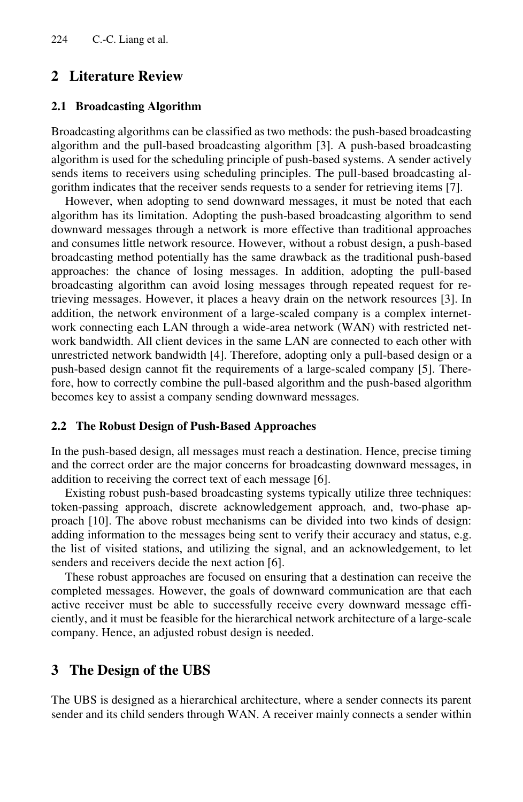# **2 Literature Review**

### **2.1 Broadcasting Algorithm**

Broadcasting algorithms can be classified as two methods: the push-based broadcasting algorithm and the pull-based broadcasting algorithm [3]. A push-based broadcasting algorithm is used for the scheduling principle of push-based systems. A sender actively sends items to receivers using scheduling principles. The pull-based broadcasting algorithm indicates that the receiver sends requests to a sender for retrieving items [7].

However, when adopting to send downward messages, it must be noted that each algorithm has its limitation. Adopting the push-based broadcasting algorithm to send downward messages through a network is more effective than traditional approaches and consumes little network resource. However, without a robust design, a push-based broadcasting method potentially has the same drawback as the traditional push-based approaches: the chance of losing messages. In addition, adopting the pull-based broadcasting algorithm can avoid losing messages through repeated request for retrieving messages. However, it places a heavy drain on the network resources [3]. In addition, the network environment of a large-scaled company is a complex internetwork connecting each LAN through a wide-area network (WAN) with restricted network bandwidth. All client devices in the same LAN are connected to each other with unrestricted network bandwidth [4]. Therefore, adopting only a pull-based design or a push-based design cannot fit the requirements of a large-scaled company [5]. Therefore, how to correctly combine the pull-based algorithm and the push-based algorithm becomes key to assist a company sending downward messages.

### **2.2 The Robust Design of Push-Based Approaches**

In the push-based design, all messages must reach a destination. Hence, precise timing and the correct order are the major concerns for broadcasting downward messages, in addition to receiving the correct text of each message [6].

Existing robust push-based broadcasting systems typically utilize three techniques: token-passing approach, discrete acknowledgement approach, and, two-phase approach [10]. The above robust mechanisms can be divided into two kinds of design: adding information to the messages being sent to verify their accuracy and status, e.g. the list of visited stations, and utilizing the signal, and an acknowledgement, to let senders and receivers decide the next action [6].

These robust approaches are focused on ensuring that a destination can receive the completed messages. However, the goals of downward communication are that each active receiver must be able to successfully receive every downward message efficiently, and it must be feasible for the hierarchical network architecture of a large-scale company. Hence, an adjusted robust design is needed.

# **3 The Design of the UBS**

The UBS is designed as a hierarchical architecture, where a sender connects its parent sender and its child senders through WAN. A receiver mainly connects a sender within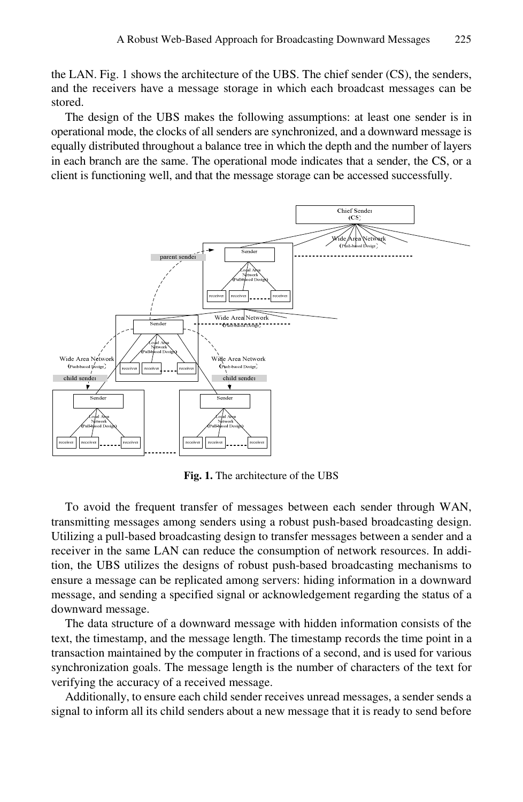the LAN. Fig. 1 shows the architecture of the UBS. The chief sender (CS), the senders, and the receivers have a message storage in which each broadcast messages can be stored.

The design of the UBS makes the following assumptions: at least one sender is in operational mode, the clocks of all senders are synchronized, and a downward message is equally distributed throughout a balance tree in which the depth and the number of layers in each branch are the same. The operational mode indicates that a sender, the CS, or a client is functioning well, and that the message storage can be accessed successfully.



**Fig. 1.** The architecture of the UBS

To avoid the frequent transfer of messages between each sender through WAN, transmitting messages among senders using a robust push-based broadcasting design. Utilizing a pull-based broadcasting design to transfer messages between a sender and a receiver in the same LAN can reduce the consumption of network resources. In addition, the UBS utilizes the designs of robust push-based broadcasting mechanisms to ensure a message can be replicated among servers: hiding information in a downward message, and sending a specified signal or acknowledgement regarding the status of a downward message.

The data structure of a downward message with hidden information consists of the text, the timestamp, and the message length. The timestamp records the time point in a transaction maintained by the computer in fractions of a second, and is used for various synchronization goals. The message length is the number of characters of the text for verifying the accuracy of a received message.

Additionally, to ensure each child sender receives unread messages, a sender sends a signal to inform all its child senders about a new message that it is ready to send before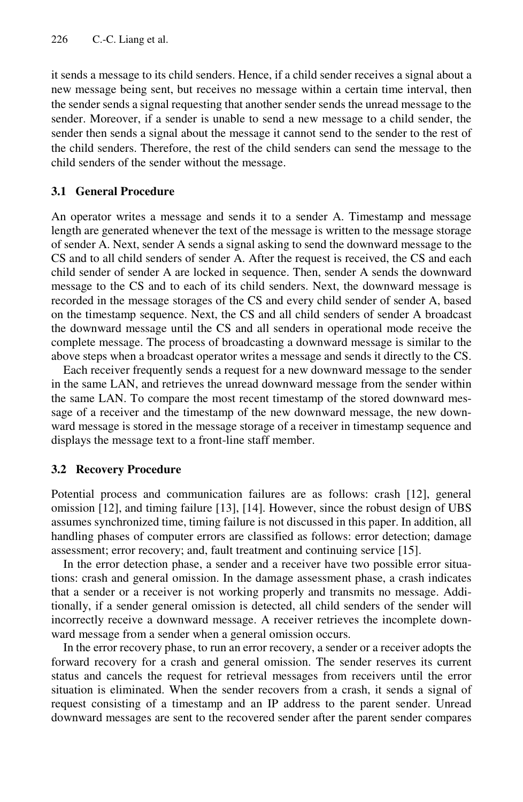it sends a message to its child senders. Hence, if a child sender receives a signal about a new message being sent, but receives no message within a certain time interval, then the sender sends a signal requesting that another sender sends the unread message to the sender. Moreover, if a sender is unable to send a new message to a child sender, the sender then sends a signal about the message it cannot send to the sender to the rest of the child senders. Therefore, the rest of the child senders can send the message to the child senders of the sender without the message.

### **3.1 General Procedure**

An operator writes a message and sends it to a sender A. Timestamp and message length are generated whenever the text of the message is written to the message storage of sender A. Next, sender A sends a signal asking to send the downward message to the CS and to all child senders of sender A. After the request is received, the CS and each child sender of sender A are locked in sequence. Then, sender A sends the downward message to the CS and to each of its child senders. Next, the downward message is recorded in the message storages of the CS and every child sender of sender A, based on the timestamp sequence. Next, the CS and all child senders of sender A broadcast the downward message until the CS and all senders in operational mode receive the complete message. The process of broadcasting a downward message is similar to the above steps when a broadcast operator writes a message and sends it directly to the CS.

Each receiver frequently sends a request for a new downward message to the sender in the same LAN, and retrieves the unread downward message from the sender within the same LAN. To compare the most recent timestamp of the stored downward message of a receiver and the timestamp of the new downward message, the new downward message is stored in the message storage of a receiver in timestamp sequence and displays the message text to a front-line staff member.

### **3.2 Recovery Procedure**

Potential process and communication failures are as follows: crash [12], general omission [12], and timing failure [13], [14]. However, since the robust design of UBS assumes synchronized time, timing failure is not discussed in this paper. In addition, all handling phases of computer errors are classified as follows: error detection; damage assessment; error recovery; and, fault treatment and continuing service [15].

In the error detection phase, a sender and a receiver have two possible error situations: crash and general omission. In the damage assessment phase, a crash indicates that a sender or a receiver is not working properly and transmits no message. Additionally, if a sender general omission is detected, all child senders of the sender will incorrectly receive a downward message. A receiver retrieves the incomplete downward message from a sender when a general omission occurs.

In the error recovery phase, to run an error recovery, a sender or a receiver adopts the forward recovery for a crash and general omission. The sender reserves its current status and cancels the request for retrieval messages from receivers until the error situation is eliminated. When the sender recovers from a crash, it sends a signal of request consisting of a timestamp and an IP address to the parent sender. Unread downward messages are sent to the recovered sender after the parent sender compares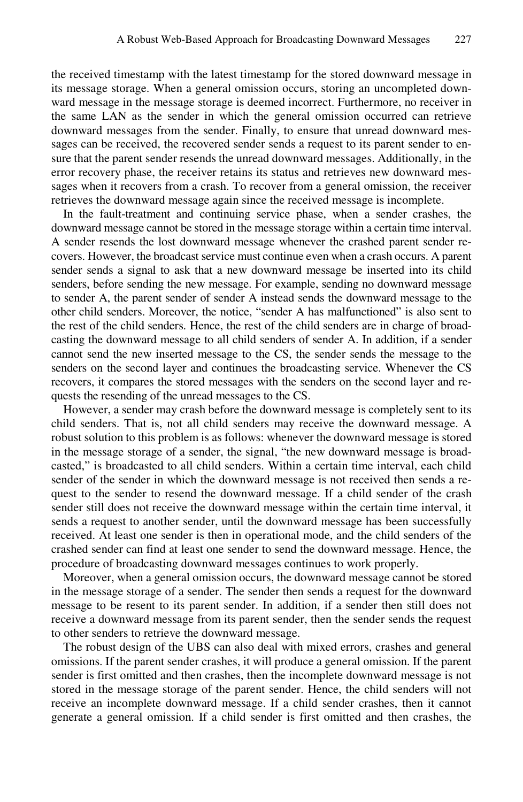the received timestamp with the latest timestamp for the stored downward message in its message storage. When a general omission occurs, storing an uncompleted downward message in the message storage is deemed incorrect. Furthermore, no receiver in the same LAN as the sender in which the general omission occurred can retrieve downward messages from the sender. Finally, to ensure that unread downward messages can be received, the recovered sender sends a request to its parent sender to ensure that the parent sender resends the unread downward messages. Additionally, in the error recovery phase, the receiver retains its status and retrieves new downward messages when it recovers from a crash. To recover from a general omission, the receiver retrieves the downward message again since the received message is incomplete.

In the fault-treatment and continuing service phase, when a sender crashes, the downward message cannot be stored in the message storage within a certain time interval. A sender resends the lost downward message whenever the crashed parent sender recovers. However, the broadcast service must continue even when a crash occurs. A parent sender sends a signal to ask that a new downward message be inserted into its child senders, before sending the new message. For example, sending no downward message to sender A, the parent sender of sender A instead sends the downward message to the other child senders. Moreover, the notice, "sender A has malfunctioned" is also sent to the rest of the child senders. Hence, the rest of the child senders are in charge of broadcasting the downward message to all child senders of sender A. In addition, if a sender cannot send the new inserted message to the CS, the sender sends the message to the senders on the second layer and continues the broadcasting service. Whenever the CS recovers, it compares the stored messages with the senders on the second layer and requests the resending of the unread messages to the CS.

However, a sender may crash before the downward message is completely sent to its child senders. That is, not all child senders may receive the downward message. A robust solution to this problem is as follows: whenever the downward message is stored in the message storage of a sender, the signal, "the new downward message is broadcasted," is broadcasted to all child senders. Within a certain time interval, each child sender of the sender in which the downward message is not received then sends a request to the sender to resend the downward message. If a child sender of the crash sender still does not receive the downward message within the certain time interval, it sends a request to another sender, until the downward message has been successfully received. At least one sender is then in operational mode, and the child senders of the crashed sender can find at least one sender to send the downward message. Hence, the procedure of broadcasting downward messages continues to work properly.

Moreover, when a general omission occurs, the downward message cannot be stored in the message storage of a sender. The sender then sends a request for the downward message to be resent to its parent sender. In addition, if a sender then still does not receive a downward message from its parent sender, then the sender sends the request to other senders to retrieve the downward message.

The robust design of the UBS can also deal with mixed errors, crashes and general omissions. If the parent sender crashes, it will produce a general omission. If the parent sender is first omitted and then crashes, then the incomplete downward message is not stored in the message storage of the parent sender. Hence, the child senders will not receive an incomplete downward message. If a child sender crashes, then it cannot generate a general omission. If a child sender is first omitted and then crashes, the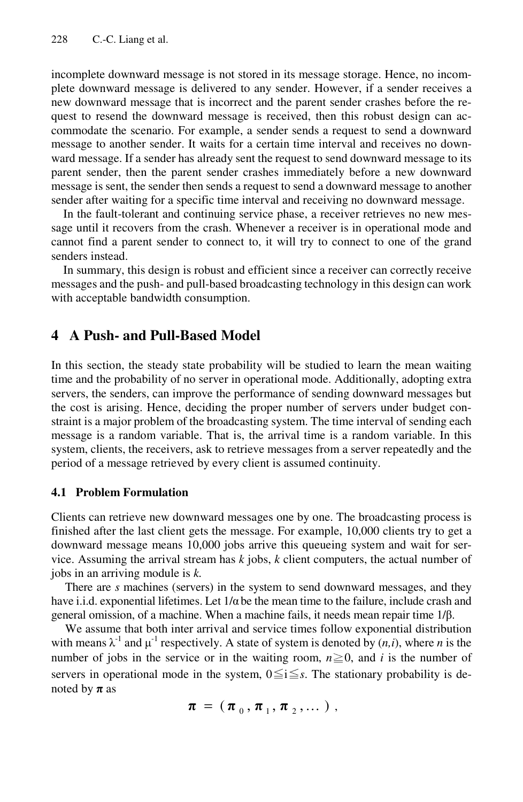incomplete downward message is not stored in its message storage. Hence, no incomplete downward message is delivered to any sender. However, if a sender receives a new downward message that is incorrect and the parent sender crashes before the request to resend the downward message is received, then this robust design can accommodate the scenario. For example, a sender sends a request to send a downward message to another sender. It waits for a certain time interval and receives no downward message. If a sender has already sent the request to send downward message to its parent sender, then the parent sender crashes immediately before a new downward message is sent, the sender then sends a request to send a downward message to another sender after waiting for a specific time interval and receiving no downward message.

In the fault-tolerant and continuing service phase, a receiver retrieves no new message until it recovers from the crash. Whenever a receiver is in operational mode and cannot find a parent sender to connect to, it will try to connect to one of the grand senders instead.

In summary, this design is robust and efficient since a receiver can correctly receive messages and the push- and pull-based broadcasting technology in this design can work with acceptable bandwidth consumption.

### **4 A Push- and Pull-Based Model**

In this section, the steady state probability will be studied to learn the mean waiting time and the probability of no server in operational mode. Additionally, adopting extra servers, the senders, can improve the performance of sending downward messages but the cost is arising. Hence, deciding the proper number of servers under budget constraint is a major problem of the broadcasting system. The time interval of sending each message is a random variable. That is, the arrival time is a random variable. In this system, clients, the receivers, ask to retrieve messages from a server repeatedly and the period of a message retrieved by every client is assumed continuity.

### **4.1 Problem Formulation**

Clients can retrieve new downward messages one by one. The broadcasting process is finished after the last client gets the message. For example, 10,000 clients try to get a downward message means 10,000 jobs arrive this queueing system and wait for service. Assuming the arrival stream has *k* jobs, *k* client computers, the actual number of jobs in an arriving module is *k.* 

There are *s* machines (servers) in the system to send downward messages, and they have i.i.d. exponential lifetimes. Let  $1/\alpha$  be the mean time to the failure, include crash and general omission, of a machine. When a machine fails, it needs mean repair time  $1/\beta$ .

We assume that both inter arrival and service times follow exponential distribution with means  $\lambda^{-1}$  and  $\mu^{-1}$  respectively. A state of system is denoted by  $(n,i)$ , where *n* is the number of jobs in the service or in the waiting room,  $n \ge 0$ , and *i* is the number of servers in operational mode in the system,  $0 \le i \le s$ . The stationary probability is denoted by  $\pi$  as

$$
\pi = (\pi_0, \pi_1, \pi_2, \dots),
$$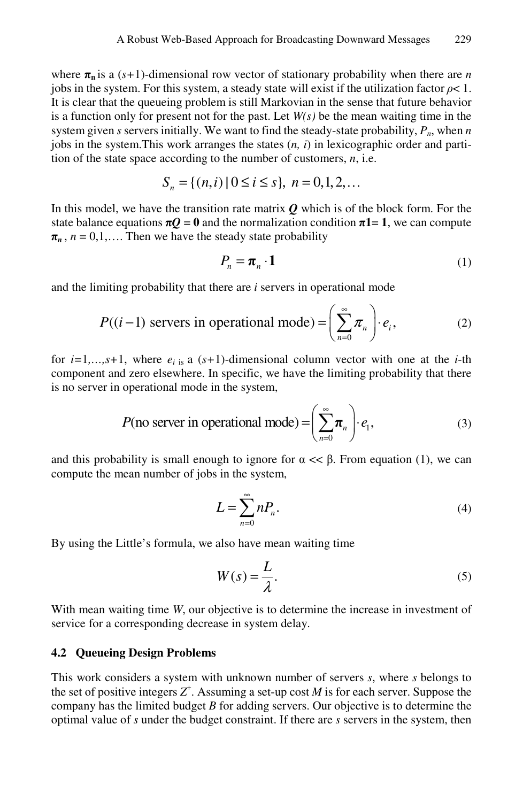where  $\pi_n$  is a ( $s+1$ )-dimensional row vector of stationary probability when there are *n* jobs in the system. For this system, a steady state will exist if the utilization factor  $\rho$ < 1. It is clear that the queueing problem is still Markovian in the sense that future behavior is a function only for present not for the past. Let  $W(s)$  be the mean waiting time in the system given *s* servers initially. We want to find the steady-state probability,  $P_n$ , when *n* jobs in the system.This work arranges the states (*n, i*) in lexicographic order and partition of the state space according to the number of customers, *n*, i.e.

$$
S_n = \{(n,i) \mid 0 \le i \le s\}, n = 0,1,2,...
$$

In this model, we have the transition rate matrix  $Q$  which is of the block form. For the state balance equations  $\pi Q = 0$  and the normalization condition  $\pi 1 = 1$ , we can compute  $\pi_n$ ,  $n = 0,1,...$  Then we have the steady state probability

$$
P_n = \boldsymbol{\pi}_n \cdot \mathbf{1} \tag{1}
$$

and the limiting probability that there are *i* servers in operational mode

$$
P((i-1) \text{ servers in operational mode}) = \left(\sum_{n=0}^{\infty} \pi_n\right) \cdot e_i,
$$
 (2)

for  $i=1,...,s+1$ , where  $e_i$  is a  $(s+1)$ -dimensional column vector with one at the *i*-th component and zero elsewhere. In specific, we have the limiting probability that there is no server in operational mode in the system,

$$
P(\text{no server in operational mode}) = \left(\sum_{n=0}^{\infty} \pi_n\right) \cdot e_1,\tag{3}
$$

and this probability is small enough to ignore for  $\alpha \ll \beta$ . From equation (1), we can compute the mean number of jobs in the system,

$$
L = \sum_{n=0}^{\infty} n P_n.
$$
 (4)

By using the Little's formula, we also have mean waiting time

$$
W(s) = \frac{L}{\lambda}.
$$
 (5)

With mean waiting time *W*, our objective is to determine the increase in investment of service for a corresponding decrease in system delay.

#### **4.2 Queueing Design Problems**

This work considers a system with unknown number of servers *s*, where *s* belongs to the set of positive integers  $Z^+$ . Assuming a set-up cost  $M$  is for each server. Suppose the company has the limited budget *B* for adding servers. Our objective is to determine the optimal value of *s* under the budget constraint. If there are *s* servers in the system, then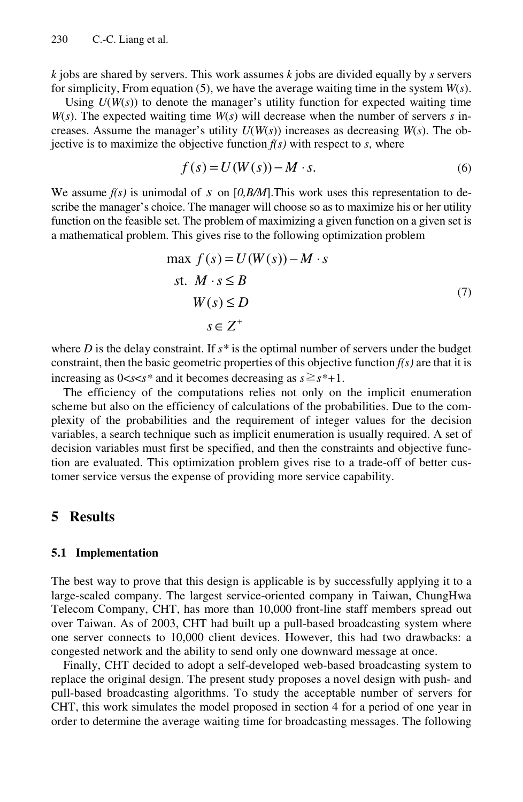*k* jobs are shared by servers. This work assumes *k* jobs are divided equally by *s* servers for simplicity, From equation (5), we have the average waiting time in the system *W*(*s*).

Using  $U(W(s))$  to denote the manager's utility function for expected waiting time *W*(*s*). The expected waiting time *W*(*s*) will decrease when the number of servers *s* increases. Assume the manager's utility  $U(W(s))$  increases as decreasing  $W(s)$ . The objective is to maximize the objective function  $f(s)$  with respect to  $s$ , where

$$
f(s) = U(W(s)) - M \cdot s. \tag{6}
$$

We assume *f(s)* is unimodal of *s* on [*0,B/M*].This work uses this representation to describe the manager's choice. The manager will choose so as to maximize his or her utility function on the feasible set. The problem of maximizing a given function on a given set is a mathematical problem. This gives rise to the following optimization problem

$$
\max f(s) = U(W(s)) - M \cdot s
$$
  
st.  $M \cdot s \le B$   
 $W(s) \le D$   
 $s \in Z^{+}$  (7)

where *D* is the delay constraint. If  $s^*$  is the optimal number of servers under the budget constraint, then the basic geometric properties of this objective function *f(s)* are that it is increasing as  $0 < s < s^*$  and it becomes decreasing as  $s \geq s^*+1$ .

The efficiency of the computations relies not only on the implicit enumeration scheme but also on the efficiency of calculations of the probabilities. Due to the complexity of the probabilities and the requirement of integer values for the decision variables, a search technique such as implicit enumeration is usually required. A set of decision variables must first be specified, and then the constraints and objective function are evaluated. This optimization problem gives rise to a trade-off of better customer service versus the expense of providing more service capability.

### **5 Results**

#### **5.1 Implementation**

The best way to prove that this design is applicable is by successfully applying it to a large-scaled company. The largest service-oriented company in Taiwan, ChungHwa Telecom Company, CHT, has more than 10,000 front-line staff members spread out over Taiwan. As of 2003, CHT had built up a pull-based broadcasting system where one server connects to 10,000 client devices. However, this had two drawbacks: a congested network and the ability to send only one downward message at once.

Finally, CHT decided to adopt a self-developed web-based broadcasting system to replace the original design. The present study proposes a novel design with push- and pull-based broadcasting algorithms. To study the acceptable number of servers for CHT, this work simulates the model proposed in section 4 for a period of one year in order to determine the average waiting time for broadcasting messages. The following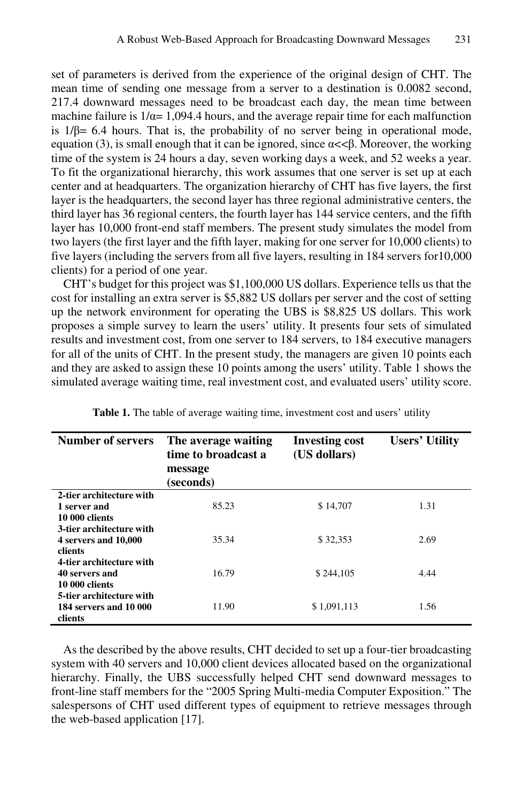set of parameters is derived from the experience of the original design of CHT. The mean time of sending one message from a server to a destination is 0.0082 second, 217.4 downward messages need to be broadcast each day, the mean time between machine failure is  $1/\alpha = 1,094.4$  hours, and the average repair time for each malfunction is  $1/\beta$ = 6.4 hours. That is, the probability of no server being in operational mode, equation (3), is small enough that it can be ignored, since  $\alpha < \beta$ . Moreover, the working time of the system is 24 hours a day, seven working days a week, and 52 weeks a year. To fit the organizational hierarchy, this work assumes that one server is set up at each center and at headquarters. The organization hierarchy of CHT has five layers, the first layer is the headquarters, the second layer has three regional administrative centers, the third layer has 36 regional centers, the fourth layer has 144 service centers, and the fifth layer has 10,000 front-end staff members. The present study simulates the model from two layers (the first layer and the fifth layer, making for one server for 10,000 clients) to five layers (including the servers from all five layers, resulting in 184 servers for10,000 clients) for a period of one year.

CHT's budget for this project was \$1,100,000 US dollars. Experience tells us that the cost for installing an extra server is \$5,882 US dollars per server and the cost of setting up the network environment for operating the UBS is \$8,825 US dollars. This work proposes a simple survey to learn the users' utility. It presents four sets of simulated results and investment cost, from one server to 184 servers, to 184 executive managers for all of the units of CHT. In the present study, the managers are given 10 points each and they are asked to assign these 10 points among the users' utility. Table 1 shows the simulated average waiting time, real investment cost, and evaluated users' utility score.

| Number of servers                          | The average waiting<br>time to broadcast a<br>message<br>(seconds) | <b>Investing cost</b><br>(US dollars) | <b>Users' Utility</b> |
|--------------------------------------------|--------------------------------------------------------------------|---------------------------------------|-----------------------|
| 2-tier architecture with<br>1 server and   | 85.23                                                              | \$14.707                              | 1.31                  |
| 10 000 clients<br>3-tier architecture with |                                                                    |                                       |                       |
| 4 servers and 10,000                       | 35.34                                                              | \$32,353                              | 2.69                  |
| clients<br>4-tier architecture with        |                                                                    |                                       |                       |
| 40 servers and<br>10 000 clients           | 16.79                                                              | \$244,105                             | 4.44                  |
| 5-tier architecture with                   |                                                                    |                                       |                       |
| <b>184 servers and 10 000</b><br>clients   | 11.90                                                              | \$1,091,113                           | 1.56                  |

Table 1. The table of average waiting time, investment cost and users' utility

As the described by the above results, CHT decided to set up a four-tier broadcasting system with 40 servers and 10,000 client devices allocated based on the organizational hierarchy. Finally, the UBS successfully helped CHT send downward messages to front-line staff members for the "2005 Spring Multi-media Computer Exposition." The salespersons of CHT used different types of equipment to retrieve messages through the web-based application [17].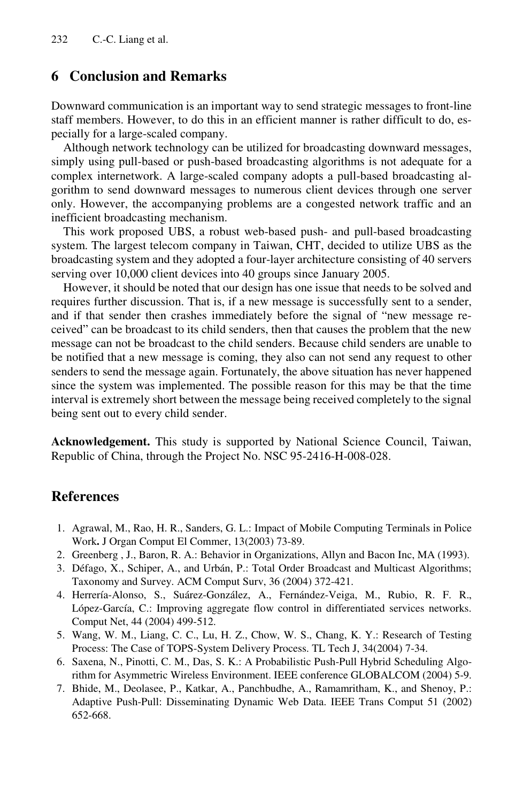# **6 Conclusion and Remarks**

Downward communication is an important way to send strategic messages to front-line staff members. However, to do this in an efficient manner is rather difficult to do, especially for a large-scaled company.

Although network technology can be utilized for broadcasting downward messages, simply using pull-based or push-based broadcasting algorithms is not adequate for a complex internetwork. A large-scaled company adopts a pull-based broadcasting algorithm to send downward messages to numerous client devices through one server only. However, the accompanying problems are a congested network traffic and an inefficient broadcasting mechanism.

This work proposed UBS, a robust web-based push- and pull-based broadcasting system. The largest telecom company in Taiwan, CHT, decided to utilize UBS as the broadcasting system and they adopted a four-layer architecture consisting of 40 servers serving over 10,000 client devices into 40 groups since January 2005.

However, it should be noted that our design has one issue that needs to be solved and requires further discussion. That is, if a new message is successfully sent to a sender, and if that sender then crashes immediately before the signal of "new message received" can be broadcast to its child senders, then that causes the problem that the new message can not be broadcast to the child senders. Because child senders are unable to be notified that a new message is coming, they also can not send any request to other senders to send the message again. Fortunately, the above situation has never happened since the system was implemented. The possible reason for this may be that the time interval is extremely short between the message being received completely to the signal being sent out to every child sender.

**Acknowledgement.** This study is supported by National Science Council, Taiwan, Republic of China, through the Project No. NSC 95-2416-H-008-028.

### **References**

- 1. Agrawal, M., Rao, H. R., Sanders, G. L.: Impact of Mobile Computing Terminals in Police Work**.** J Organ Comput El Commer, 13(2003) 73-89.
- 2. Greenberg , J., Baron, R. A.: Behavior in Organizations, Allyn and Bacon Inc, MA (1993).
- 3. Défago, X., Schiper, A., and Urbán, P.: Total Order Broadcast and Multicast Algorithms; Taxonomy and Survey. ACM Comput Surv, 36 (2004) 372-421.
- 4. Herrería-Alonso, S., Suárez-González, A., Fernández-Veiga, M., Rubio, R. F. R., López-García, C.: Improving aggregate flow control in differentiated services networks. Comput Net, 44 (2004) 499-512.
- 5. Wang, W. M., Liang, C. C., Lu, H. Z., Chow, W. S., Chang, K. Y.: Research of Testing Process: The Case of TOPS-System Delivery Process. TL Tech J, 34(2004) 7-34.
- 6. Saxena, N., Pinotti, C. M., Das, S. K.: A Probabilistic Push-Pull Hybrid Scheduling Algorithm for Asymmetric Wireless Environment. IEEE conference GLOBALCOM (2004) 5-9.
- 7. Bhide, M., Deolasee, P., Katkar, A., Panchbudhe, A., Ramamritham, K., and Shenoy, P.: Adaptive Push-Pull: Disseminating Dynamic Web Data. IEEE Trans Comput 51 (2002) 652-668.